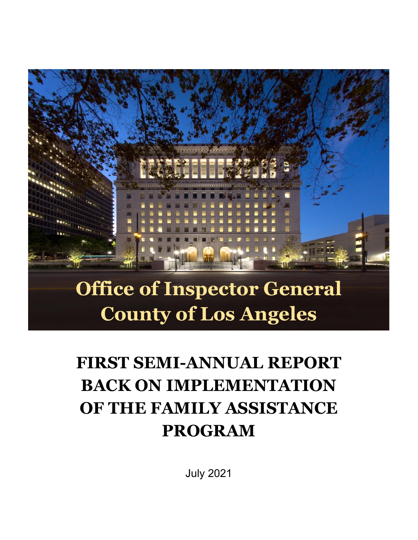

# **Office of Inspector General County of Los Angeles**

## **FIRST SEMI-ANNUAL REPORT BACK ON IMPLEMENTATION OF THE FAMILY ASSISTANCE PROGRAM**

July 2021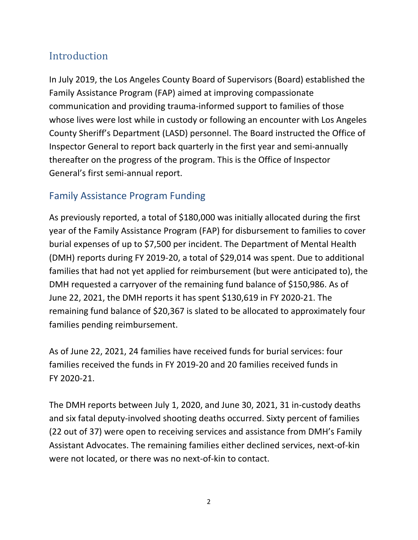### Introduction

In July 2019, the Los Angeles County Board of Supervisors (Board) established the Family Assistance Program (FAP) aimed at improving compassionate communication and providing trauma-informed support to families of those whose lives were lost while in custody or following an encounter with Los Angeles County Sheriff's Department (LASD) personnel. The Board instructed the Office of Inspector General to report back quarterly in the first year and semi-annually thereafter on the progress of the program. This is the Office of Inspector General's first semi-annual report.

#### Family Assistance Program Funding

As previously reported, a total of \$180,000 was initially allocated during the first year of the Family Assistance Program (FAP) for disbursement to families to cover burial expenses of up to \$7,500 per incident. The Department of Mental Health (DMH) reports during FY 2019-20, a total of \$29,014 was spent. Due to additional families that had not yet applied for reimbursement (but were anticipated to), the DMH requested a carryover of the remaining fund balance of \$150,986. As of June 22, 2021, the DMH reports it has spent \$130,619 in FY 2020-21. The remaining fund balance of \$20,367 is slated to be allocated to approximately four families pending reimbursement.

As of June 22, 2021, 24 families have received funds for burial services: four families received the funds in FY 2019-20 and 20 families received funds in FY 2020-21.

The DMH reports between July 1, 2020, and June 30, 2021, 31 in-custody deaths and six fatal deputy-involved shooting deaths occurred. Sixty percent of families (22 out of 37) were open to receiving services and assistance from DMH's Family Assistant Advocates. The remaining families either declined services, next-of-kin were not located, or there was no next-of-kin to contact.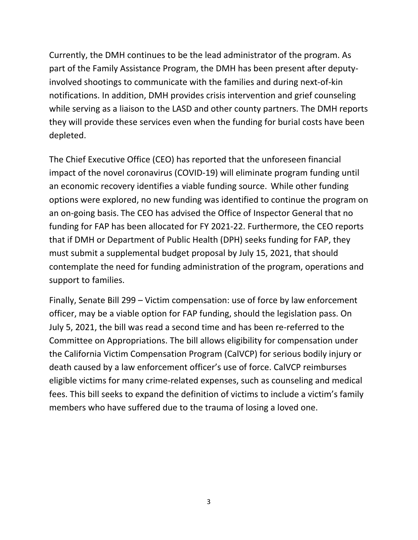Currently, the DMH continues to be the lead administrator of the program. As part of the Family Assistance Program, the DMH has been present after deputyinvolved shootings to communicate with the families and during next-of-kin notifications. In addition, DMH provides crisis intervention and grief counseling while serving as a liaison to the LASD and other county partners. The DMH reports they will provide these services even when the funding for burial costs have been depleted.

The Chief Executive Office (CEO) has reported that the unforeseen financial impact of the novel coronavirus (COVID-19) will eliminate program funding until an economic recovery identifies a viable funding source. While other funding options were explored, no new funding was identified to continue the program on an on-going basis. The CEO has advised the Office of Inspector General that no funding for FAP has been allocated for FY 2021-22. Furthermore, the CEO reports that if DMH or Department of Public Health (DPH) seeks funding for FAP, they must submit a supplemental budget proposal by July 15, 2021, that should contemplate the need for funding administration of the program, operations and support to families.

Finally, Senate Bill 299 – Victim compensation: use of force by law enforcement officer, may be a viable option for FAP funding, should the legislation pass. On July 5, 2021, the bill was read a second time and has been re-referred to the Committee on Appropriations. The bill allows eligibility for compensation under the California Victim Compensation Program (CalVCP) for serious bodily injury or death caused by a law enforcement officer's use of force. CalVCP reimburses eligible victims for many crime-related expenses, such as counseling and medical fees. This bill seeks to expand the definition of victims to include a victim's family members who have suffered due to the trauma of losing a loved one.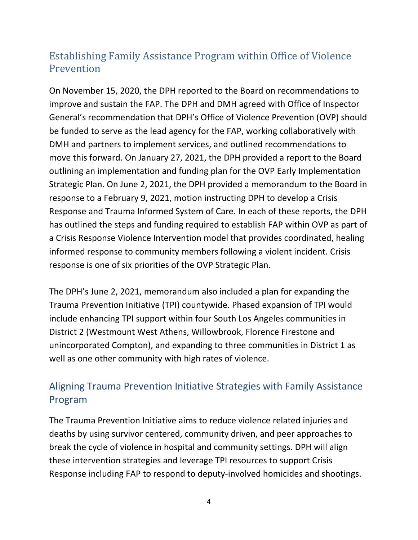### Establishing Family Assistance Program within Office of Violence Prevention

On November 15, 2020, the DPH reported to the Board on recommendations to improve and sustain the FAP. The DPH and DMH agreed with Office of Inspector General's recommendation that DPH's Office of Violence Prevention (OVP) should be funded to serve as the lead agency for the FAP, working collaboratively with DMH and partners to implement services, and outlined recommendations to move this forward. On January 27, 2021, the DPH provided a report to the Board outlining an implementation and funding plan for the OVP Early Implementation Strategic Plan. On June 2, 2021, the DPH provided a memorandum to the Board in response to a February 9, 2021, motion instructing DPH to develop a Crisis Response and Trauma Informed System of Care. In each of these reports, the DPH has outlined the steps and funding required to establish FAP within OVP as part of a Crisis Response Violence Intervention model that provides coordinated, healing informed response to community members following a violent incident. Crisis response is one of six priorities of the OVP Strategic Plan.

The DPH's June 2, 2021, memorandum also included a plan for expanding the Trauma Prevention Initiative (TPI) countywide. Phased expansion of TPI would include enhancing TPI support within four South Los Angeles communities in District 2 (Westmount West Athens, Willowbrook, Florence Firestone and unincorporated Compton), and expanding to three communities in District 1 as well as one other community with high rates of violence.

#### Aligning Trauma Prevention Initiative Strategies with Family Assistance Program

The Trauma Prevention Initiative aims to reduce violence related injuries and deaths by using survivor centered, community driven, and peer approaches to break the cycle of violence in hospital and community settings. DPH will align these intervention strategies and leverage TPI resources to support Crisis Response including FAP to respond to deputy-involved homicides and shootings.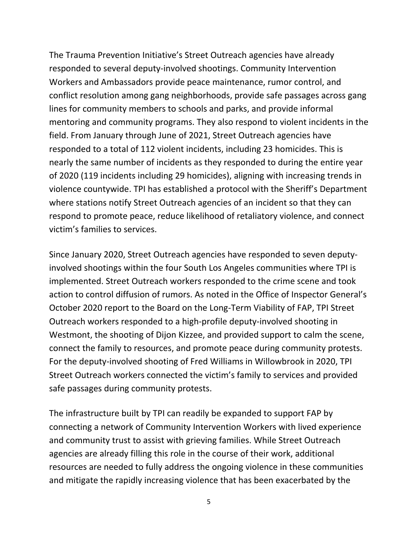The Trauma Prevention Initiative's Street Outreach agencies have already responded to several deputy-involved shootings. Community Intervention Workers and Ambassadors provide peace maintenance, rumor control, and conflict resolution among gang neighborhoods, provide safe passages across gang lines for community members to schools and parks, and provide informal mentoring and community programs. They also respond to violent incidents in the field. From January through June of 2021, Street Outreach agencies have responded to a total of 112 violent incidents, including 23 homicides. This is nearly the same number of incidents as they responded to during the entire year of 2020 (119 incidents including 29 homicides), aligning with increasing trends in violence countywide. TPI has established a protocol with the Sheriff's Department where stations notify Street Outreach agencies of an incident so that they can respond to promote peace, reduce likelihood of retaliatory violence, and connect victim's families to services.

Since January 2020, Street Outreach agencies have responded to seven deputyinvolved shootings within the four South Los Angeles communities where TPI is implemented. Street Outreach workers responded to the crime scene and took action to control diffusion of rumors. As noted in the Office of Inspector General's October 2020 report to the Board on the Long-Term Viability of FAP, TPI Street Outreach workers responded to a high-profile deputy-involved shooting in Westmont, the shooting of Dijon Kizzee, and provided support to calm the scene, connect the family to resources, and promote peace during community protests. For the deputy-involved shooting of Fred Williams in Willowbrook in 2020, TPI Street Outreach workers connected the victim's family to services and provided safe passages during community protests.

The infrastructure built by TPI can readily be expanded to support FAP by connecting a network of Community Intervention Workers with lived experience and community trust to assist with grieving families. While Street Outreach agencies are already filling this role in the course of their work, additional resources are needed to fully address the ongoing violence in these communities and mitigate the rapidly increasing violence that has been exacerbated by the